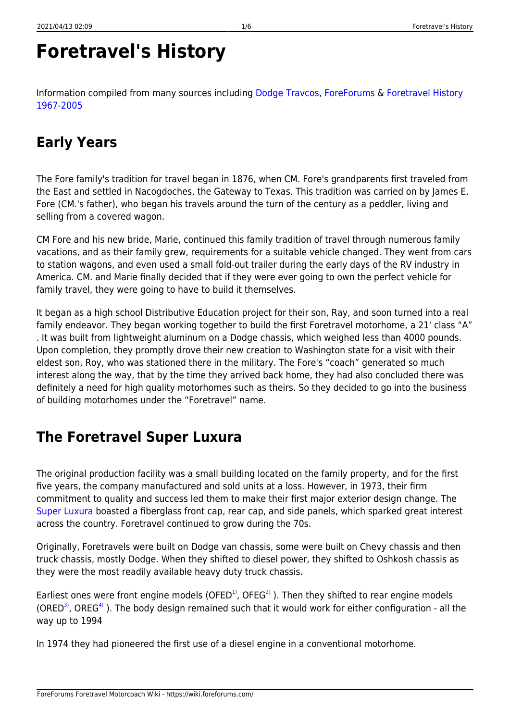# **Foretravel's History**

Information compiled from many sources including [Dodge Travcos,](http://dodgetravcos.com) [ForeForums](http://foreforums.com) & [Foretravel History](https://wiki.foreforums.com/lib/exe/fetch.php?media=foretravel_general:foretravel_40_year_history.pdf) [1967-2005](https://wiki.foreforums.com/lib/exe/fetch.php?media=foretravel_general:foretravel_40_year_history.pdf)

## **Early Years**

The Fore family's tradition for travel began in 1876, when CM. Fore's grandparents first traveled from the East and settled in Nacogdoches, the Gateway to Texas. This tradition was carried on by James E. Fore (CM.'s father), who began his travels around the turn of the century as a peddler, living and selling from a covered wagon.

CM Fore and his new bride, Marie, continued this family tradition of travel through numerous family vacations, and as their family grew, requirements for a suitable vehicle changed. They went from cars to station wagons, and even used a small fold-out trailer during the early days of the RV industry in America. CM. and Marie finally decided that if they were ever going to own the perfect vehicle for family travel, they were going to have to build it themselves.

It began as a high school Distributive Education project for their son, Ray, and soon turned into a real family endeavor. They began working together to build the first Foretravel motorhome, a 21' class "A" . It was built from lightweight aluminum on a Dodge chassis, which weighed less than 4000 pounds. Upon completion, they promptly drove their new creation to Washington state for a visit with their eldest son, Roy, who was stationed there in the military. The Fore's "coach" generated so much interest along the way, that by the time they arrived back home, they had also concluded there was definitely a need for high quality motorhomes such as theirs. So they decided to go into the business of building motorhomes under the "Foretravel" name.

## **The Foretravel Super Luxura**

The original production facility was a small building located on the family property, and for the first five years, the company manufactured and sold units at a loss. However, in 1973, their firm commitment to quality and success led them to make their first major exterior design change. The [Super Luxura](https://wiki.foreforums.com/doku.php?id=through_the_years:1973) boasted a fiberglass front cap, rear cap, and side panels, which sparked great interest across the country. Foretravel continued to grow during the 70s.

Originally, Foretravels were built on Dodge van chassis, some were built on Chevy chassis and then truck chassis, mostly Dodge. When they shifted to diesel power, they shifted to Oshkosh chassis as they were the most readily available heavy duty truck chassis.

Earliest ones were front engine models (OFED<sup>1</sup>), OFEG<sup>2</sup>). Then they shifted to rear engine models (ORED<sup>[3\)](#page--1-0)</sup>, OREG<sup>[4\)](#page--1-0)</sup>). The body design remained such that it would work for either configuration - all the way up to 1994

In 1974 they had pioneered the first use of a diesel engine in a conventional motorhome.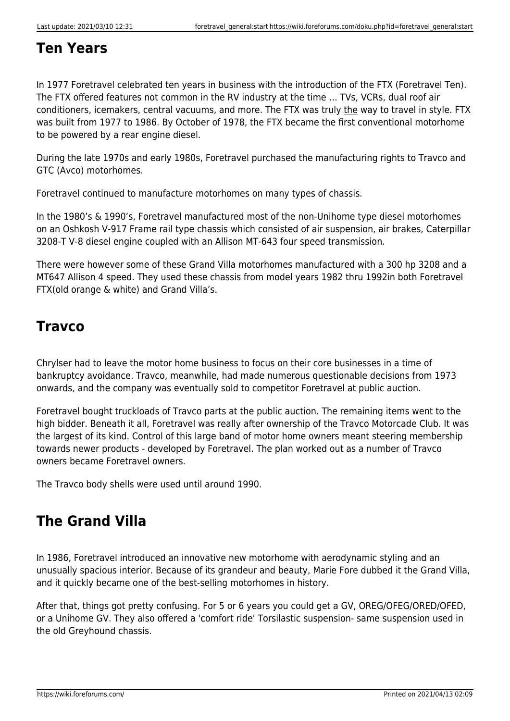#### **Ten Years**

In 1977 Foretravel celebrated ten years in business with the introduction of the FTX (Foretravel Ten). The FTX offered features not common in the RV industry at the time … TVs, VCRs, dual roof air conditioners, icemakers, central vacuums, and more. The FTX was truly the way to travel in style. FTX was built from 1977 to 1986. By October of 1978, the FTX became the first conventional motorhome to be powered by a rear engine diesel.

During the late 1970s and early 1980s, Foretravel purchased the manufacturing rights to Travco and GTC (Avco) motorhomes.

Foretravel continued to manufacture motorhomes on many types of chassis.

In the 1980's & 1990's, Foretravel manufactured most of the non-Unihome type diesel motorhomes on an Oshkosh V-917 Frame rail type chassis which consisted of air suspension, air brakes, Caterpillar 3208-T V-8 diesel engine coupled with an Allison MT-643 four speed transmission.

There were however some of these Grand Villa motorhomes manufactured with a 300 hp 3208 and a MT647 Allison 4 speed. They used these chassis from model years 1982 thru 1992in both Foretravel FTX(old orange & white) and Grand Villa's.

#### **Travco**

Chrylser had to leave the motor home business to focus on their core businesses in a time of bankruptcy avoidance. Travco, meanwhile, had made numerous questionable decisions from 1973 onwards, and the company was eventually sold to competitor Foretravel at public auction.

Foretravel bought truckloads of Travco parts at the public auction. The remaining items went to the high bidder. Beneath it all, Foretravel was really after ownership of the Travco Motorcade Club. It was the largest of its kind. Control of this large band of motor home owners meant steering membership towards newer products - developed by Foretravel. The plan worked out as a number of Travco owners became Foretravel owners.

The Travco body shells were used until around 1990.

## **The Grand Villa**

In 1986, Foretravel introduced an innovative new motorhome with aerodynamic styling and an unusually spacious interior. Because of its grandeur and beauty, Marie Fore dubbed it the Grand Villa, and it quickly became one of the best-selling motorhomes in history.

After that, things got pretty confusing. For 5 or 6 years you could get a GV, OREG/OFEG/ORED/OFED, or a Unihome GV. They also offered a 'comfort ride' Torsilastic suspension- same suspension used in the old Greyhound chassis.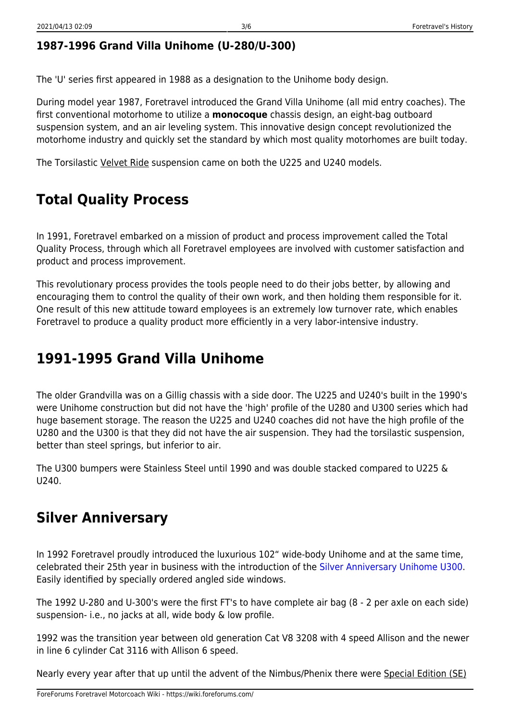#### **1987-1996 Grand Villa Unihome (U-280/U-300)**

The 'U' series first appeared in 1988 as a designation to the Unihome body design.

During model year 1987, Foretravel introduced the Grand Villa Unihome (all mid entry coaches). The first conventional motorhome to utilize a **monocoque** chassis design, an eight-bag outboard suspension system, and an air leveling system. This innovative design concept revolutionized the motorhome industry and quickly set the standard by which most quality motorhomes are built today.

The Torsilastic Velvet Ride suspension came on both the U225 and U240 models.

## **Total Quality Process**

In 1991, Foretravel embarked on a mission of product and process improvement called the Total Quality Process, through which all Foretravel employees are involved with customer satisfaction and product and process improvement.

This revolutionary process provides the tools people need to do their jobs better, by allowing and encouraging them to control the quality of their own work, and then holding them responsible for it. One result of this new attitude toward employees is an extremely low turnover rate, which enables Foretravel to produce a quality product more efficiently in a very labor-intensive industry.

## **1991-1995 Grand Villa Unihome**

The older Grandvilla was on a Gillig chassis with a side door. The U225 and U240's built in the 1990's were Unihome construction but did not have the 'high' profile of the U280 and U300 series which had huge basement storage. The reason the U225 and U240 coaches did not have the high profile of the U280 and the U300 is that they did not have the air suspension. They had the torsilastic suspension, better than steel springs, but inferior to air.

The U300 bumpers were Stainless Steel until 1990 and was double stacked compared to U225 & U240.

#### **Silver Anniversary**

In 1992 Foretravel proudly introduced the luxurious 102" wide-body Unihome and at the same time, celebrated their 25th year in business with the introduction of the [Silver Anniversary Unihome U300](https://wiki.foreforums.com/doku.php?id=through_the_years:1992). Easily identified by specially ordered angled side windows.

The 1992 U-280 and U-300's were the first FT's to have complete air bag (8 - 2 per axle on each side) suspension- i.e., no jacks at all, wide body & low profile.

1992 was the transition year between old generation Cat V8 3208 with 4 speed Allison and the newer in line 6 cylinder Cat 3116 with Allison 6 speed.

Nearly every year after that up until the advent of the Nimbus/Phenix there were Special Edition (SE)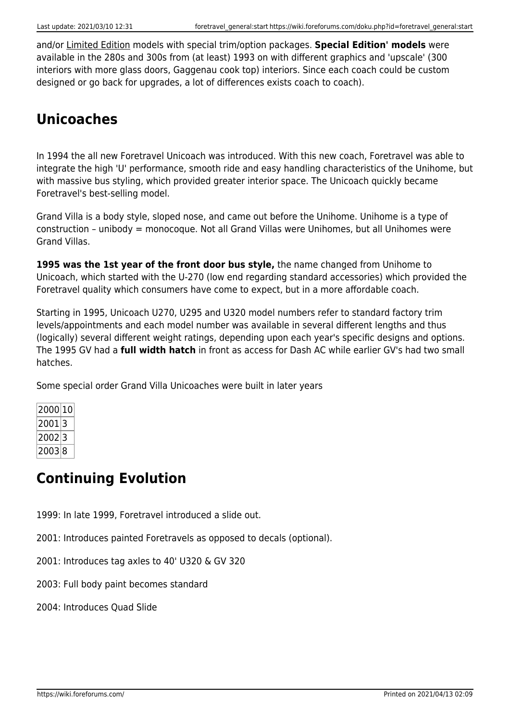and/or Limited Edition models with special trim/option packages. **Special Edition' models** were available in the 280s and 300s from (at least) 1993 on with different graphics and 'upscale' (300 interiors with more glass doors, Gaggenau cook top) interiors. Since each coach could be custom designed or go back for upgrades, a lot of differences exists coach to coach).

## **Unicoaches**

In 1994 the all new Foretravel Unicoach was introduced. With this new coach, Foretravel was able to integrate the high 'U' performance, smooth ride and easy handling characteristics of the Unihome, but with massive bus styling, which provided greater interior space. The Unicoach quickly became Foretravel's best-selling model.

Grand Villa is a body style, sloped nose, and came out before the Unihome. Unihome is a type of construction – unibody = monocoque. Not all Grand Villas were Unihomes, but all Unihomes were Grand Villas.

**1995 was the 1st year of the front door bus style,** the name changed from Unihome to Unicoach, which started with the U-270 (low end regarding standard accessories) which provided the Foretravel quality which consumers have come to expect, but in a more affordable coach.

Starting in 1995, Unicoach U270, U295 and U320 model numbers refer to standard factory trim levels/appointments and each model number was available in several different lengths and thus (logically) several different weight ratings, depending upon each year's specific designs and options. The 1995 GV had a **full width hatch** in front as access for Dash AC while earlier GV's had two small hatches.

Some special order Grand Villa Unicoaches were built in later years

| 2000 10 |  |
|---------|--|
| 2001 3  |  |
| 2002 3  |  |
| 2003 8  |  |

## **Continuing Evolution**

1999: In late 1999, Foretravel introduced a slide out.

2001: Introduces painted Foretravels as opposed to decals (optional).

2001: Introduces tag axles to 40' U320 & GV 320

2003: Full body paint becomes standard

2004: Introduces Quad Slide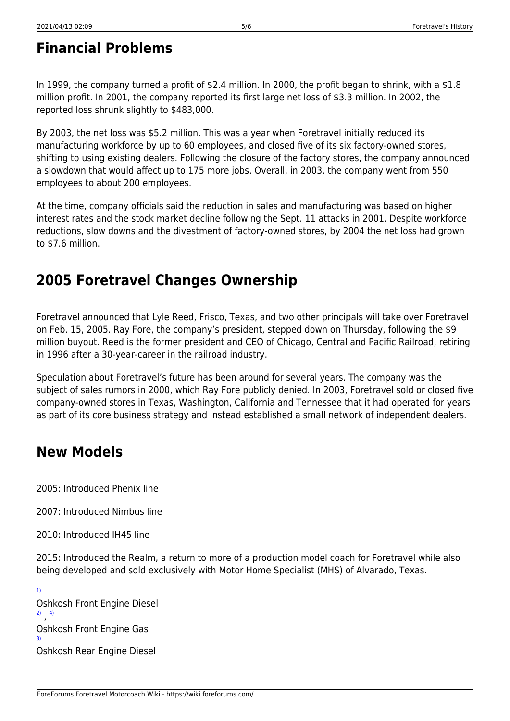## **Financial Problems**

In 1999, the company turned a profit of \$2.4 million. In 2000, the profit began to shrink, with a \$1.8 million profit. In 2001, the company reported its first large net loss of \$3.3 million. In 2002, the reported loss shrunk slightly to \$483,000.

By 2003, the net loss was \$5.2 million. This was a year when Foretravel initially reduced its manufacturing workforce by up to 60 employees, and closed five of its six factory-owned stores, shifting to using existing dealers. Following the closure of the factory stores, the company announced a slowdown that would affect up to 175 more jobs. Overall, in 2003, the company went from 550 employees to about 200 employees.

At the time, company officials said the reduction in sales and manufacturing was based on higher interest rates and the stock market decline following the Sept. 11 attacks in 2001. Despite workforce reductions, slow downs and the divestment of factory-owned stores, by 2004 the net loss had grown to \$7.6 million.

#### **2005 Foretravel Changes Ownership**

Foretravel announced that Lyle Reed, Frisco, Texas, and two other principals will take over Foretravel on Feb. 15, 2005. Ray Fore, the company's president, stepped down on Thursday, following the \$9 million buyout. Reed is the former president and CEO of Chicago, Central and Pacific Railroad, retiring in 1996 after a 30-year-career in the railroad industry.

Speculation about Foretravel's future has been around for several years. The company was the subject of sales rumors in 2000, which Ray Fore publicly denied. In 2003, Foretravel sold or closed five company-owned stores in Texas, Washington, California and Tennessee that it had operated for years as part of its core business strategy and instead established a small network of independent dealers.

#### **New Models**

2005: Introduced Phenix line

2007: Introduced Nimbus line

2010: Introduced IH45 line

2015: Introduced the Realm, a return to more of a production model coach for Foretravel while also being developed and sold exclusively with Motor Home Specialist (MHS) of Alvarado, Texas.

[1\)](#page--1-0) Oshkosh Front Engine Diesel [2\)](#page--1-0) , [4\)](#page--1-0) Oshkosh Front Engine Gas [3\)](#page--1-0) Oshkosh Rear Engine Diesel